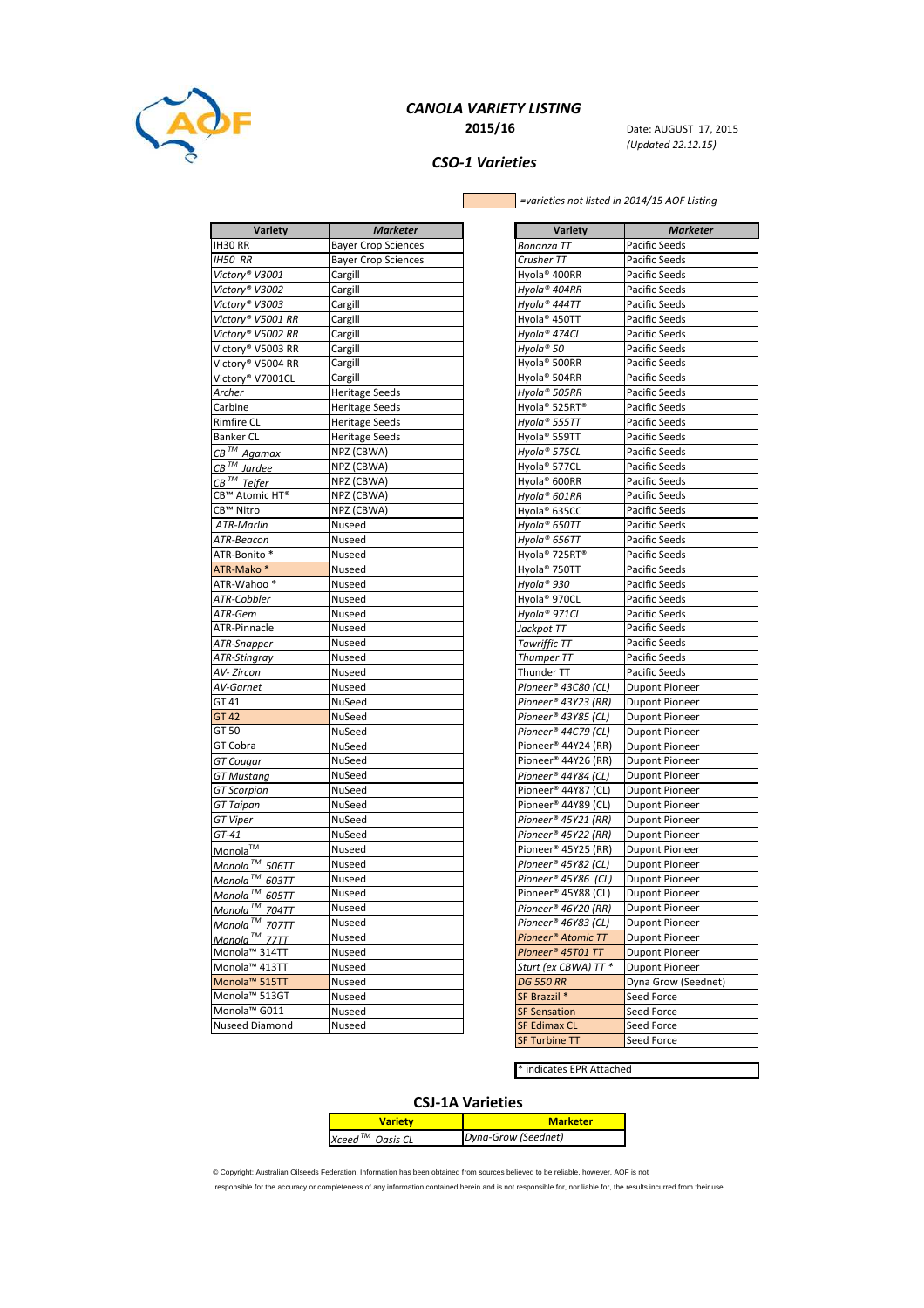

### CANOLA VARIETY LISTING **2015/16** Date: AUGUST 17, 2015

(Updated 22.12.15)

## CSO-1 Varieties

Г

 $\overline{\phantom{0}}$  =varieties not listed in 2014/15 AOF Listing

| Variety                    | <b>Marketer</b>            |
|----------------------------|----------------------------|
| IH30 RR                    | <b>Bayer Crop Sciences</b> |
| <b>IH50 RR</b>             | <b>Bayer Crop Sciences</b> |
| Victory® V3001             | Cargill                    |
| Victory® V3002             | Cargill                    |
| Victory® V3003             | Cargill                    |
| Victory® V5001 RR          | Cargill                    |
| Victory® V5002 RR          | Cargill                    |
| Victory® V5003 RR          | Cargill                    |
| Victory® V5004 RR          | Cargill                    |
| Victory® V7001CL           | Cargill                    |
| Archer                     | <b>Heritage Seeds</b>      |
| Carbine                    | <b>Heritage Seeds</b>      |
| <b>Rimfire CL</b>          | <b>Heritage Seeds</b>      |
| <b>Banker CL</b>           | <b>Heritage Seeds</b>      |
| $CB^{\mathsf{TM}}$ Agamax  | NPZ (CBWA)                 |
| $CB$ <sup>TM</sup> Jardee  | NPZ (CBWA)                 |
| $CB$ <sup>TM</sup> Telfer  | NPZ (CBWA)                 |
| CB™ Atomic HT®             | NPZ (CBWA)                 |
| CB™ Nitro                  | NPZ (CBWA)                 |
| <b>ATR-Marlin</b>          | Nuseed                     |
| ATR-Beacon                 | Nuseed                     |
| ATR-Bonito *               | Nuseed                     |
| ATR-Mako*                  | Nuseed                     |
| ATR-Wahoo*                 | Nuseed                     |
| ATR-Cobbler                | Nuseed                     |
| ATR-Gem                    | Nuseed                     |
| ATR-Pinnacle               | Nuseed                     |
| ATR-Snapper                | Nuseed                     |
| ATR-Stingray               | Nuseed                     |
| AV- Zircon                 | Nuseed                     |
| AV-Garnet                  | Nuseed                     |
| GT 41                      | NuSeed                     |
| GT 42                      | NuSeed                     |
| GT 50                      | NuSeed                     |
| GT Cobra                   | NuSeed                     |
| GT Cougar                  | NuSeed                     |
| GT Mustang                 | NuSeed                     |
| <b>GT Scorpion</b>         | NuSeed                     |
| GT Taipan                  | NuSeed                     |
| <b>GT Viper</b>            | NuSeed                     |
|                            | NuSeed                     |
| GT-41                      |                            |
| Monola <sup>™</sup>        | Nuseed                     |
| Monola <sup>TM</sup> 506TT | Nuseed                     |
| Monola™ 603TT              | Nuseed                     |
| Monola™ 605TT              | Nuseed                     |
| Monola <sup>™</sup> 704TT  | Nuseed                     |
| Monola <sup>™</sup> 707TT  | Nuseed                     |
| Monola™ 77TT               | Nuseed                     |
| Monola™ 314TT              | Nuseed                     |
| Monola™ 413TT              | Nuseed                     |
| Monola <sup>™</sup> 515TT  | Nuseed                     |
| Monola™ 513GT              | Nuseed                     |
| Monola™ G011               | Nuseed                     |
| Nuseed Diamond             | Nuseed                     |

| Variety                       | <b>Marketer</b>       |
|-------------------------------|-----------------------|
| Bonanza TT                    | Pacific Seeds         |
| Crusher TT                    | Pacific Seeds         |
| Hyola® 400RR                  | <b>Pacific Seeds</b>  |
| Hyola® 404RR                  | Pacific Seeds         |
| Hyola® 444TT                  | <b>Pacific Seeds</b>  |
| Hyola® 450TT                  | Pacific Seeds         |
|                               |                       |
| Hyola® 474CL                  | Pacific Seeds         |
| Hyola® 50<br>Hyola® 500RR     | Pacific Seeds         |
| Hyola® 504RR                  | Pacific Seeds         |
| Hyola® 505RR                  | Pacific Seeds         |
|                               | Pacific Seeds         |
| Hyola® 525RT®                 | Pacific Seeds         |
| Hyola® 555TT                  | Pacific Seeds         |
| Hyola <sup>®</sup> 559TT      | Pacific Seeds         |
| Hyola® 575CL                  | Pacific Seeds         |
| Hyola® 577CL                  | Pacific Seeds         |
| Hyola® 600RR                  | Pacific Seeds         |
| Hyola® 601RR                  | Pacific Seeds         |
| Hyola® 635CC                  | Pacific Seeds         |
| Hyola® 650TT                  | <b>Pacific Seeds</b>  |
| Hyola® 656TT                  | Pacific Seeds         |
| Hyola® 725RT®                 | Pacific Seeds         |
| Hyola <sup>®</sup> 750TT      | <b>Pacific Seeds</b>  |
| Hyola® 930                    | Pacific Seeds         |
| Hyola® 970CL                  | Pacific Seeds         |
| Hyola® 971CL                  | Pacific Seeds         |
| Jackpot TT                    | Pacific Seeds         |
| <b>Tawriffic TT</b>           | <b>Pacific Seeds</b>  |
| Thumper TT                    | Pacific Seeds         |
| Thunder TT                    | Pacific Seeds         |
| Pioneer® 43C80 (CL)           | <b>Dupont Pioneer</b> |
| Pioneer® 43Y23 (RR)           | <b>Dupont Pioneer</b> |
| Pioneer® 43Y85 (CL)           | <b>Dupont Pioneer</b> |
| Pioneer® 44C79 (CL)           | <b>Dupont Pioneer</b> |
| Pioneer® 44Y24 (RR)           | <b>Dupont Pioneer</b> |
| Pioneer® 44Y26 (RR)           | <b>Dupont Pioneer</b> |
| Pioneer® 44Y84 (CL)           | <b>Dupont Pioneer</b> |
| Pioneer® 44Y87 (CL)           | <b>Dupont Pioneer</b> |
| Pioneer® 44Y89 (CL)           | <b>Dupont Pioneer</b> |
| Pioneer® 45Y21 (RR)           | <b>Dupont Pioneer</b> |
| Pioneer® 45Y22 (RR)           | <b>Dupont Pioneer</b> |
| Pioneer® 45Y25 (RR)           | <b>Dupont Pioneer</b> |
| Pioneer® 45Y82 (CL)           | <b>Dupont Pioneer</b> |
| Pioneer® 45Y86 (CL)           | <b>Dupont Pioneer</b> |
| Pioneer® 45Y88 (CL)           | Dupont Pioneer        |
| Pioneer® 46Y20 (RR)           | <b>Dupont Pioneer</b> |
| Pioneer® 46Y83 (CL)           | <b>Dupont Pioneer</b> |
| Pioneer® Atomic TT            | <b>Dupont Pioneer</b> |
| Pioneer <sup>®</sup> 45T01 TT | <b>Dupont Pioneer</b> |
| Sturt (ex CBWA) TT *          | Dupont Pioneer        |
| <b>DG 550 RR</b>              | Dyna Grow (Seednet)   |
| SF Brazzil *                  | Seed Force            |
| <b>SF Sensation</b>           | Seed Force            |
| <b>SF Edimax CL</b>           | Seed Force            |
| <b>SF Turbine TT</b>          | Seed Force            |

\* indicates EPR Attached

|                        | <b>CSJ-1A Varieties</b> |
|------------------------|-------------------------|
| <b>Variety</b>         | <b>Marketer</b>         |
| Xceed $^{7M}$ Oasis CL | Dyna-Grow (Seednet)     |

© Copyright: Australian Oilseeds Federation. Information has been obtained from sources believed to be reliable, however, AOF is not

responsible for the accuracy or completeness of any information contained herein and is not responsible for, nor liable for, the results incurred from their use.